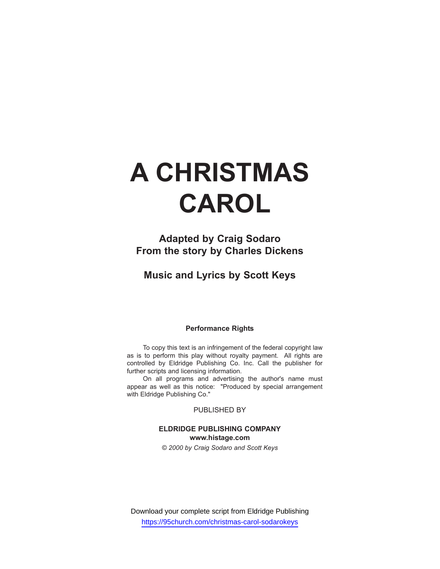# **A CHRISTMAS CAROL**

**Adapted by Craig Sodaro From the story by Charles Dickens**

**Music and Lyrics by Scott Keys**

#### **Performance Rights**

To copy this text is an infringement of the federal copyright law as is to perform this play without royalty payment. All rights are controlled by Eldridge Publishing Co. Inc. Call the publisher for further scripts and licensing information.

On all programs and advertising the author's name must appear as well as this notice: "Produced by special arrangement with Eldridge Publishing Co."

PUBLISHED BY

#### **ELDRIDGE PUBLISHING COMPANY www.histage.com**

*© 2000 by Craig Sodaro and Scott Keys*

Download your complete script from Eldridge Publishing https://95church.com/christmas-carol-sodarokeys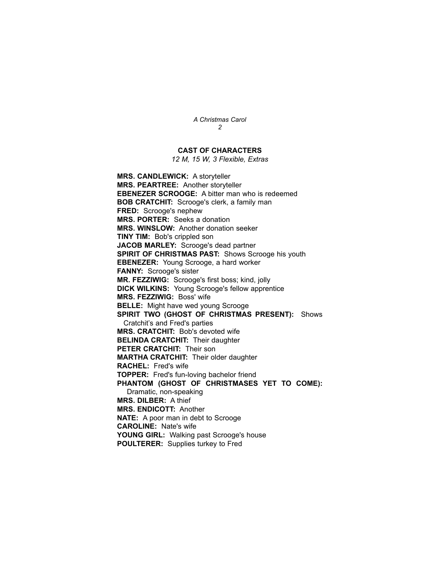#### **CAST OF CHARACTERS**

*12 M, 15 W, 3 Flexible, Extras*

**MRS. CANDLEWICK:** A storyteller **MRS. PEARTREE:** Another storyteller **EBENEZER SCROOGE:** A bitter man who is redeemed **BOB CRATCHIT:** Scrooge's clerk, a family man **FRED:** Scrooge's nephew **MRS. PORTER:** Seeks a donation **MRS. WINSLOW:** Another donation seeker **TINY TIM:** Bob's crippled son **JACOB MARLEY:** Scrooge's dead partner **SPIRIT OF CHRISTMAS PAST:** Shows Scrooge his youth **EBENEZER:** Young Scrooge, a hard worker **FANNY:** Scrooge's sister **MR. FEZZIWIG:** Scrooge's first boss; kind, jolly **DICK WILKINS:** Young Scrooge's fellow apprentice **MRS. FEZZIWIG:** Boss' wife **BELLE:** Might have wed young Scrooge **SPIRIT TWO (GHOST OF CHRISTMAS PRESENT):** Shows Cratchit's and Fred's parties **MRS. CRATCHIT:** Bob's devoted wife **BELINDA CRATCHIT:** Their daughter **PETER CRATCHIT:** Their son **MARTHA CRATCHIT:** Their older daughter **RACHEL:** Fred's wife **TOPPER:** Fred's fun-loving bachelor friend **PHANTOM (GHOST OF CHRISTMASES YET TO COME):** Dramatic, non-speaking **MRS. DILBER:** A thief **MRS. ENDICOTT:** Another **NATE:** A poor man in debt to Scrooge **CAROLINE:** Nate's wife YOUNG GIRL: Walking past Scrooge's house **POULTERER:** Supplies turkey to Fred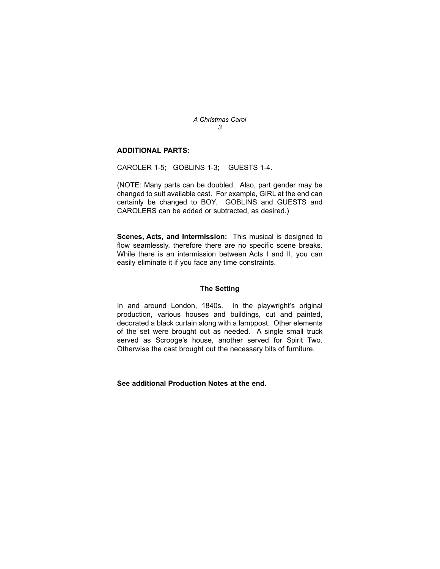#### **ADDITIONAL PARTS:**

CAROLER 1-5; GOBLINS 1-3; GUESTS 1-4.

(NOTE: Many parts can be doubled. Also, part gender may be changed to suit available cast. For example, GIRL at the end can certainly be changed to BOY. GOBLINS and GUESTS and CAROLERS can be added or subtracted, as desired.)

**Scenes, Acts, and Intermission:** This musical is designed to flow seamlessly, therefore there are no specific scene breaks. While there is an intermission between Acts I and II, you can easily eliminate it if you face any time constraints.

#### **The Setting**

In and around London, 1840s. In the playwright's original production, various houses and buildings, cut and painted, decorated a black curtain along with a lamppost. Other elements of the set were brought out as needed. A single small truck served as Scrooge's house, another served for Spirit Two. Otherwise the cast brought out the necessary bits of furniture.

**See additional Production Notes at the end.**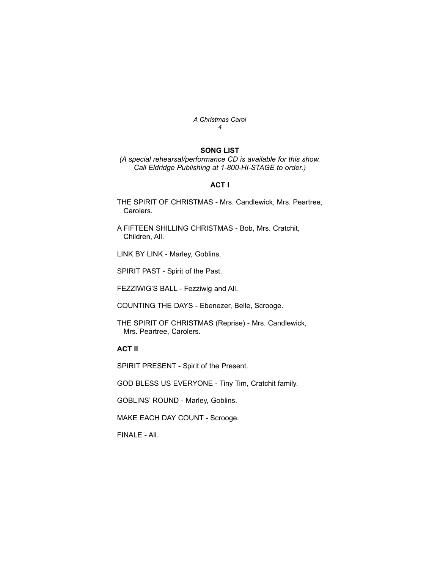#### **SONG LIST**

*(A special rehearsal/performance CD is available for this show. Call Eldridge Publishing at 1-800-HI-STAGE to order.)*

#### **ACT I**

THE SPIRIT OF CHRISTMAS - Mrs. Candlewick, Mrs. Peartree, Carolers.

A FIFTEEN SHILLING CHRISTMAS - Bob, Mrs. Cratchit, Children, All.

LINK BY LINK - Marley, Goblins.

SPIRIT PAST - Spirit of the Past.

FEZZIWIG'S BALL - Fezziwig and All.

COUNTING THE DAYS - Ebenezer, Belle, Scrooge.

THE SPIRIT OF CHRISTMAS (Reprise) - Mrs. Candlewick, Mrs. Peartree, Carolers.

### **ACT II**

SPIRIT PRESENT - Spirit of the Present.

GOD BLESS US EVERYONE - Tiny Tim, Cratchit family.

GOBLINS' ROUND - Marley, Goblins.

MAKE EACH DAY COUNT - Scrooge.

FINALE - All.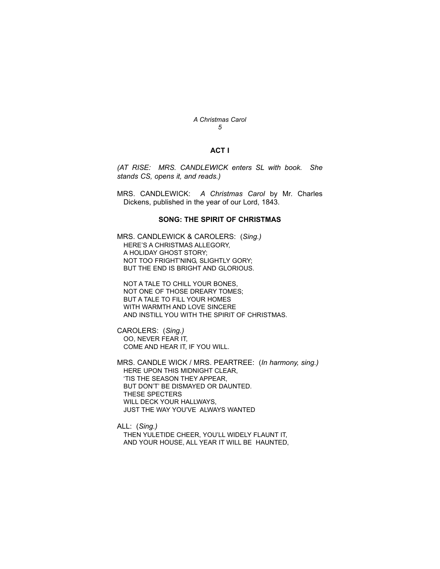#### **ACT I**

*(AT RISE: MRS. CANDLEWICK enters SL with book. She stands CS, opens it, and reads.)*

MRS. CANDLEWICK: *A Christmas Carol* by Mr. Charles Dickens, published in the year of our Lord, 1843.

#### **SONG: THE SPIRIT OF CHRISTMAS**

MRS. CANDLEWICK & CAROLERS: (*Sing.)* HERE'S A CHRISTMAS ALLEGORY, A HOLIDAY GHOST STORY; NOT TOO FRIGHT'NING, SLIGHTLY GORY; BUT THE END IS BRIGHT AND GLORIOUS.

NOT A TALE TO CHILL YOUR BONES, NOT ONE OF THOSE DREARY TOMES; BUT A TALE TO FILL YOUR HOMES WITH WARMTH AND LOVE SINCERE AND INSTILL YOU WITH THE SPIRIT OF CHRISTMAS.

CAROLERS: (*Sing.)* OO, NEVER FEAR IT, COME AND HEAR IT, IF YOU WILL.

MRS. CANDLE WICK / MRS. PEARTREE: (*In harmony, sing.)* HERE UPON THIS MIDNIGHT CLEAR, 'TIS THE SEASON THEY APPEAR, BUT DON'T' BE DISMAYED OR DAUNTED. THESE SPECTERS WILL DECK YOUR HALLWAYS, JUST THE WAY YOU'VE ALWAYS WANTED

ALL: (*Sing.)* THEN YULETIDE CHEER, YOU'LL WIDELY FLAUNT IT, AND YOUR HOUSE, ALL YEAR IT WILL BE HAUNTED,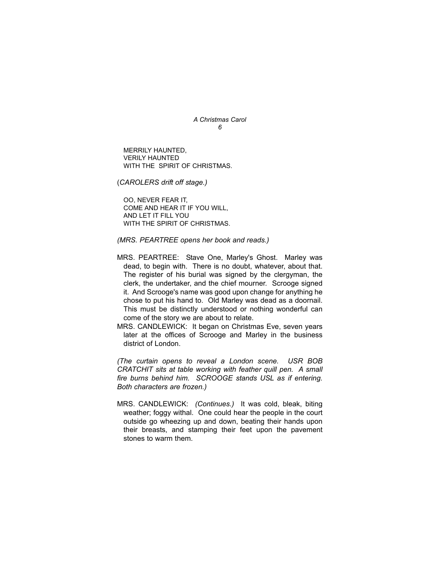MERRILY HAUNTED, VERILY HAUNTED WITH THE SPIRIT OF CHRISTMAS.

(*CAROLERS drift off stage.)*

OO, NEVER FEAR IT, COME AND HEAR IT IF YOU WILL, AND LET IT FILL YOU WITH THE SPIRIT OF CHRISTMAS.

*(MRS. PEARTREE opens her book and reads.)*

- MRS. PEARTREE: Stave One, Marley's Ghost. Marley was dead, to begin with. There is no doubt, whatever, about that. The register of his burial was signed by the clergyman, the clerk, the undertaker, and the chief mourner. Scrooge signed it. And Scrooge's name was good upon change for anything he chose to put his hand to. Old Marley was dead as a doornail. This must be distinctly understood or nothing wonderful can come of the story we are about to relate.
- MRS. CANDLEWICK: It began on Christmas Eve, seven years later at the offices of Scrooge and Marley in the business district of London.

*(The curtain opens to reveal a London scene. USR BOB CRATCHIT sits at table working with feather quill pen. A small fire burns behind him. SCROOGE stands USL as if entering. Both characters are frozen.)* 

MRS. CANDLEWICK: *(Continues.)* It was cold, bleak, biting weather; foggy withal. One could hear the people in the court outside go wheezing up and down, beating their hands upon their breasts, and stamping their feet upon the pavement stones to warm them.